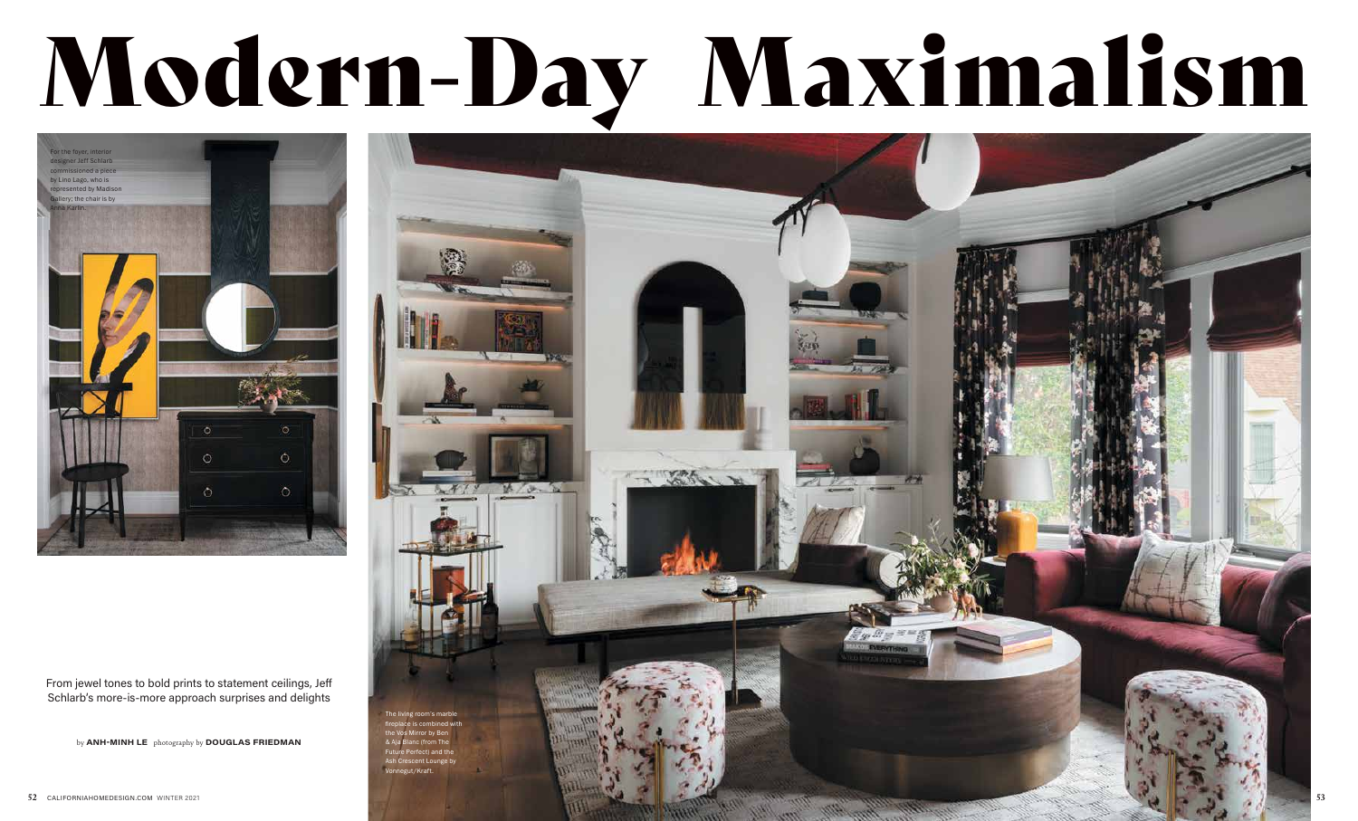From jewel tones to bold prints to statement ceilings, Jeff Schlarb's more-is-more approach surprises and delights

by ANH-MINH LE photography by DOUGLAS FRIEDMAN





## Modern-Day Maximalism

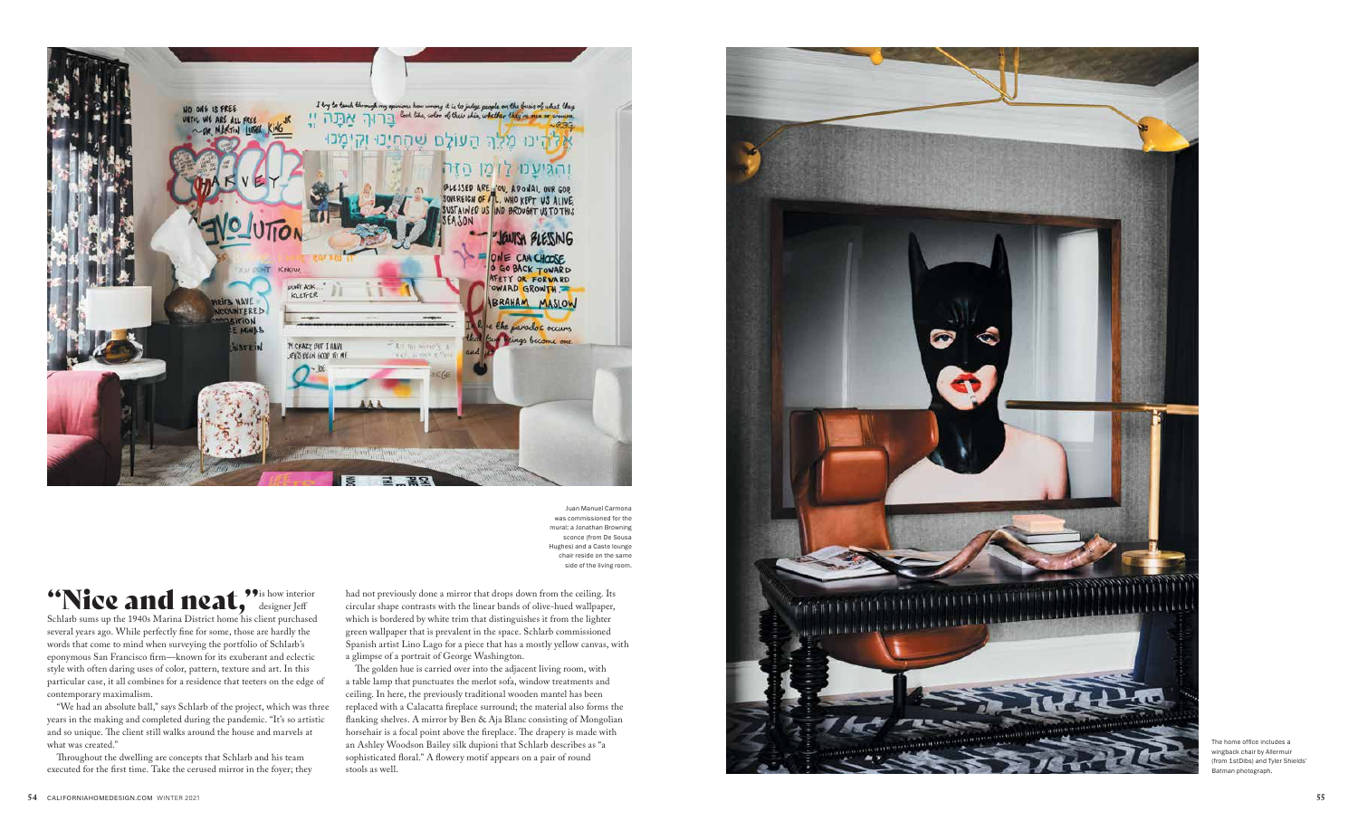The home office includes a wingback chair by Allermuir (from 1stDibs) and Tyler Shields' Batman photograph.

"Nice and neat,"<sup>3</sup> is how interior Schlarb sums up the 1940s Marina District home his client purchased several years ago. While perfectly fine for some, those are hardly the words that come to mind when surveying the portfolio of Schlarb's eponymous San Francisco firm—known for its exuberant and eclectic style with often daring uses of color, pattern, texture and art. In this particular case, it all combines for a residence that teeters on the edge of contemporary maximalism.

"We had an absolute ball," says Schlarb of the project, which was three years in the making and completed during the pandemic. "It's so artistic and so unique. The client still walks around the house and marvels at what was created."

Throughout the dwelling are concepts that Schlarb and his team executed for the first time. Take the cerused mirror in the foyer; they had not previously done a mirror that drops down from the ceiling. Its circular shape contrasts with the linear bands of olive-hued wallpaper, which is bordered by white trim that distinguishes it from the lighter green wallpaper that is prevalent in the space. Schlarb commissioned Spanish artist Lino Lago for a piece that has a mostly yellow canvas, with a glimpse of a portrait of George Washington.

The golden hue is carried over into the adjacent living room, with a table lamp that punctuates the merlot sofa, window treatments and ceiling. In here, the previously traditional wooden mantel has been replaced with a Calacatta fireplace surround; the material also forms the flanking shelves. A mirror by Ben & Aja Blanc consisting of Mongolian horsehair is a focal point above the fireplace. The drapery is made with an Ashley Woodson Bailey silk dupioni that Schlarb describes as "a sophisticated floral." A flowery motif appears on a pair of round stools as well.





Juan Manuel Carmona was commissioned for the mural; a Jonathan Browning sconce (from De Sousa Hughes) and a Caste lounge chair reside on the same side of the living room.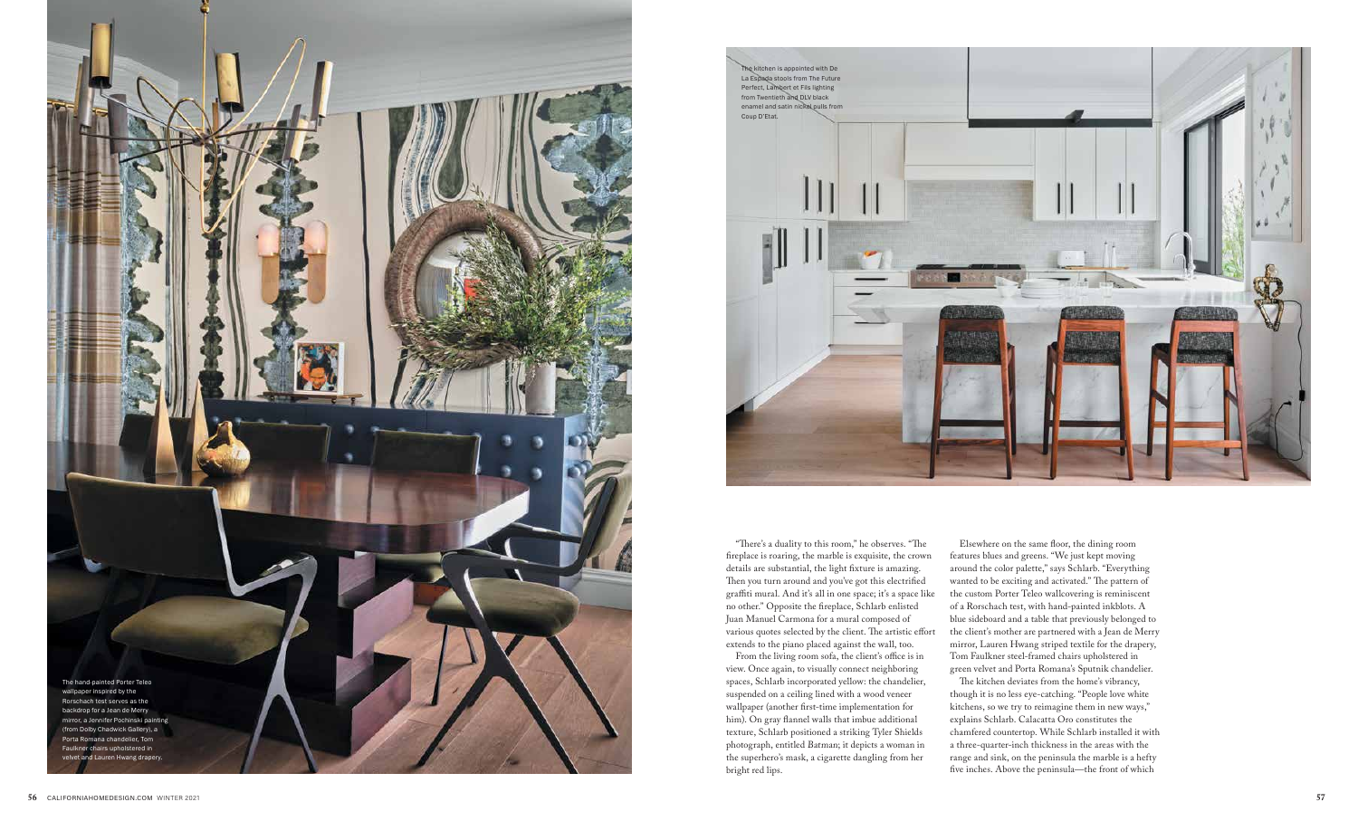



"There's a duality to this room," he observes. "The fireplace is roaring, the marble is exquisite, the crown details are substantial, the light fixture is amazing. Then you turn around and you've got this electrified graffiti mural. And it's all in one space; it's a space like no other." Opposite the fireplace, Schlarb enlisted Juan Manuel Carmona for a mural composed of various quotes selected by the client. The artistic effort extends to the piano placed against the wall, too.

From the living room sofa, the client's office is in view. Once again, to visually connect neighboring spaces, Schlarb incorporated yellow: the chandelier, suspended on a ceiling lined with a wood veneer wallpaper (another first-time implementation for him). On gray flannel walls that imbue additional texture, Schlarb positioned a striking Tyler Shields photograph, entitled Batman; it depicts a woman in the superhero's mask, a cigarette dangling from her bright red lips.

Elsewhere on the same floor, the dining room features blues and greens. "We just kept moving around the color palette," says Schlarb. "Everything wanted to be exciting and activated." The pattern of the custom Porter Teleo wallcovering is reminiscent of a Rorschach test, with hand-painted inkblots. A blue sideboard and a table that previously belonged to the client's mother are partnered with a Jean de Merry mirror, Lauren Hwang striped textile for the drapery, Tom Faulkner steel-framed chairs upholstered in green velvet and Porta Romana's Sputnik chandelier.

The kitchen deviates from the home's vibrancy, though it is no less eye-catching. "People love white kitchens, so we try to reimagine them in new ways," explains Schlarb. Calacatta Oro constitutes the chamfered countertop. While Schlarb installed it with a three-quarter-inch thickness in the areas with the range and sink, on the peninsula the marble is a hefty five inches. Above the peninsula—the front of which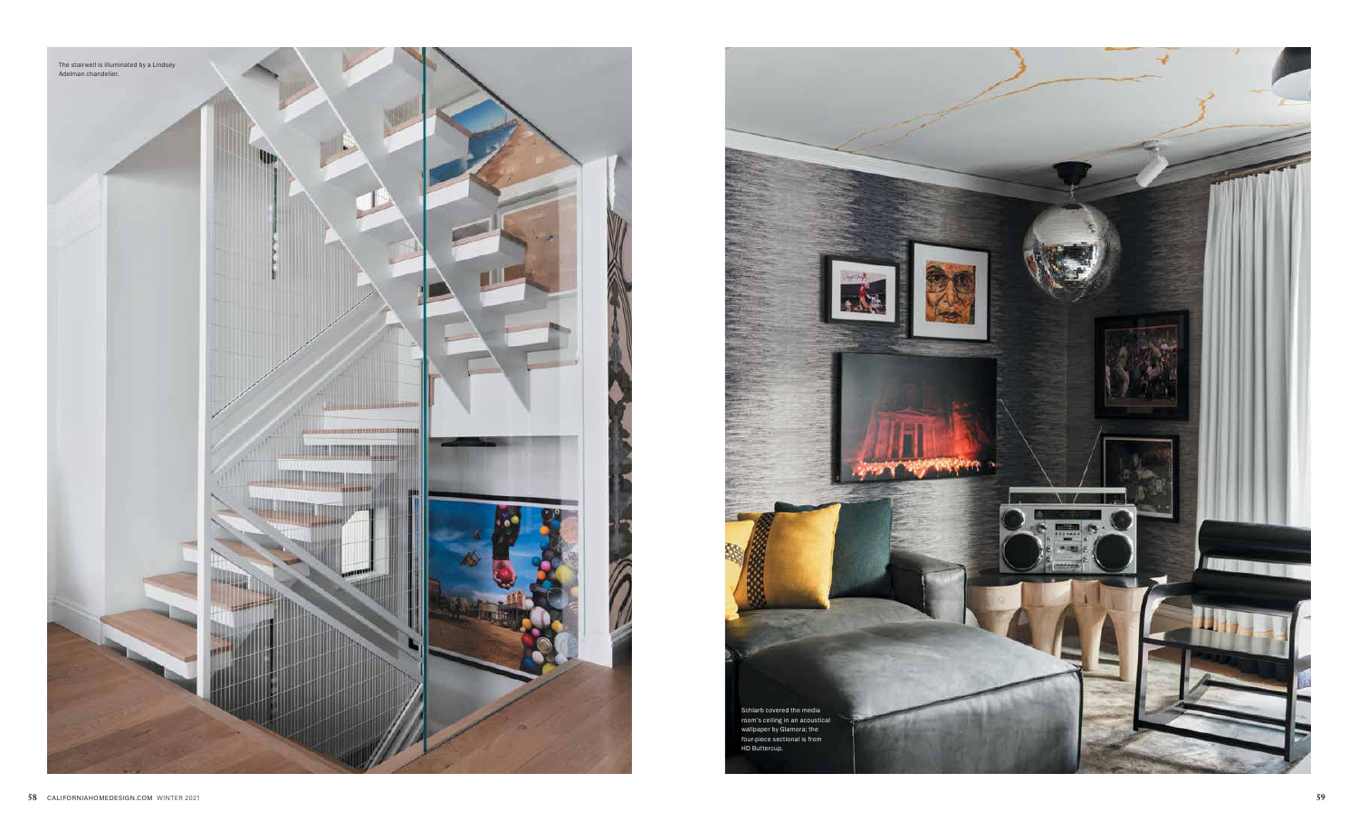